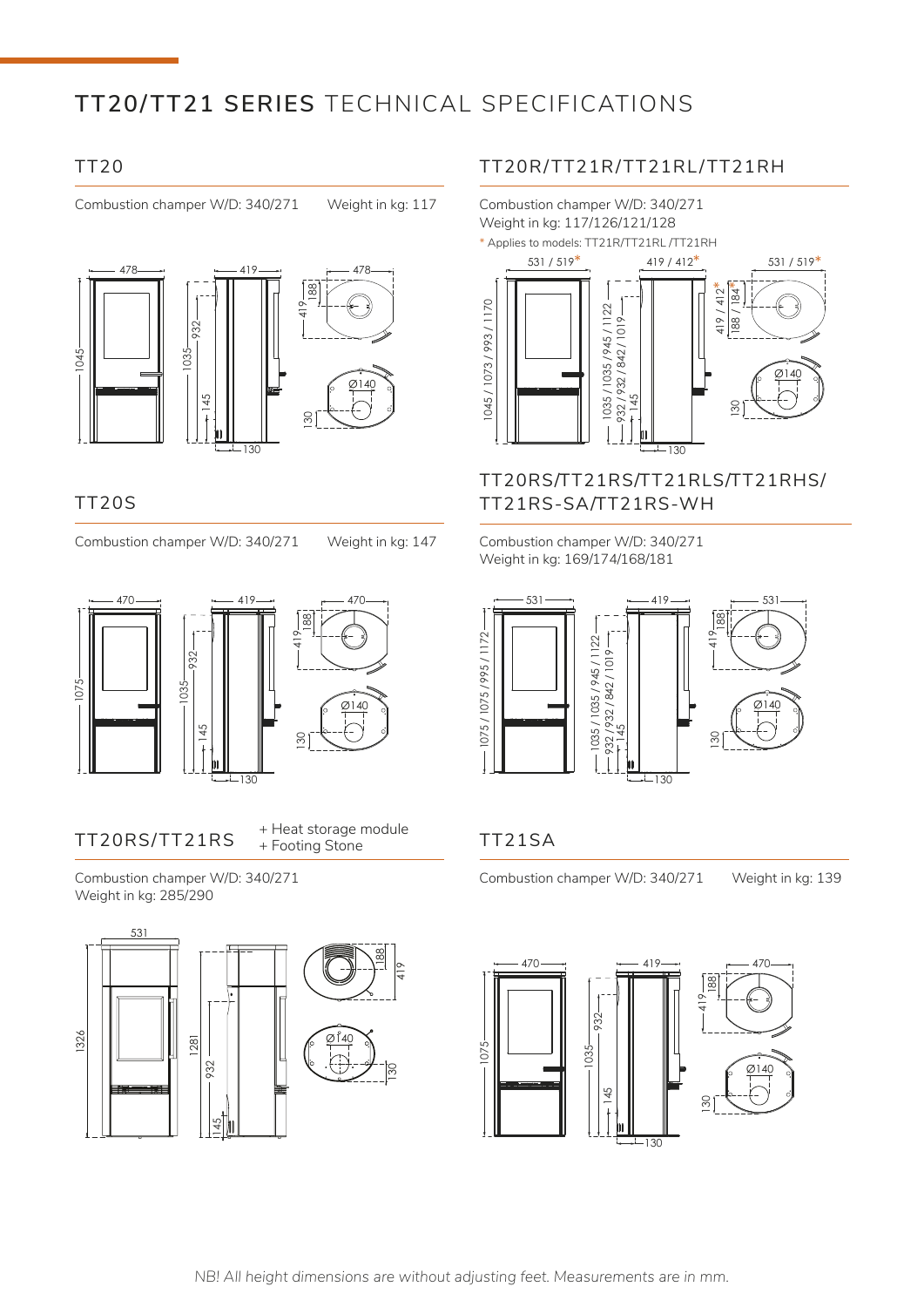# **TT20/TT21 SERIES** TECHNICAL SPECIFICATIONS

### TT20

Combustion champer W/D: 340/271 Weight in kg: 117



### TT20S

Combustion champer W/D: 340/271 Weight in kg: 147



### TT20RS/TT21RS + Heat storage module<br>+ Eosting Stope **TT21SA** + Footing Stone

Combustion champer W/D: 340/271 Weight in kg: 285/290



### TT20R/TT21R/TT21RL/TT21RH



### TT20RS/TT21RS/TT21RLS/TT21RHS/ TT21RS-SA/TT21RS-WH

Combustion champer W/D: 340/271 Weight in kg: 169/174/168/181



Combustion champer W/D: 340/271 Weight in kg: 139